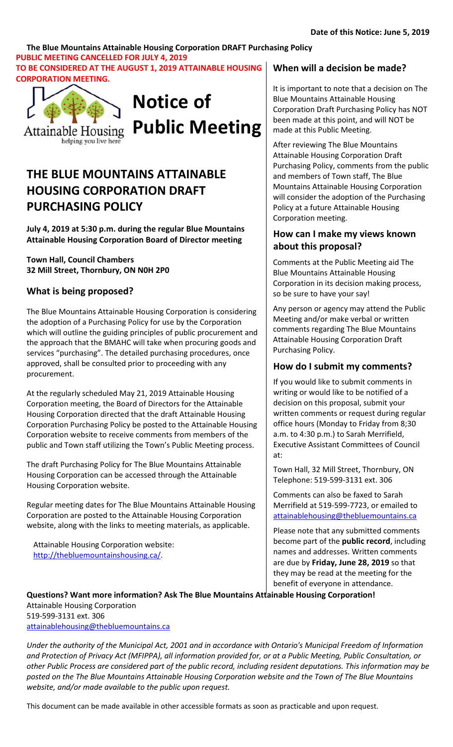# **The Blue Mountains Attainable Housing Corporation DRAFT Purchasing Policy PUBLIC MEETING CANCELLED FOR JULY 4, 2019**

**TO BE CONSIDERED AT THE AUGUST 1, 2019 ATTAINABLE HOUSING CORPORATION MEETING.**





# **THE BLUE MOUNTAINS ATTAINABLE HOUSING CORPORATION DRAFT PURCHASING POLICY**

**July 4, 2019 at 5:30 p.m. during the regular Blue Mountains Attainable Housing Corporation Board of Director meeting**

**Town Hall, Council Chambers 32 Mill Street, Thornbury, ON N0H 2P0**

# **What is being proposed?**

The Blue Mountains Attainable Housing Corporation is considering the adoption of a Purchasing Policy for use by the Corporation which will outline the guiding principles of public procurement and the approach that the BMAHC will take when procuring goods and services "purchasing". The detailed purchasing procedures, once approved, shall be consulted prior to proceeding with any procurement.

At the regularly scheduled May 21, 2019 Attainable Housing Corporation meeting, the Board of Directors for the Attainable Housing Corporation directed that the draft Attainable Housing Corporation Purchasing Policy be posted to the Attainable Housing Corporation website to receive comments from members of the public and Town staff utilizing the Town's Public Meeting process.

The draft Purchasing Policy for The Blue Mountains Attainable Housing Corporation can be accessed through the Attainable Housing Corporation website.

Regular meeting dates for The Blue Mountains Attainable Housing Corporation are posted to the Attainable Housing Corporation website, along with the links to meeting materials, as applicable.

Attainable Housing Corporation website: http://thebluemountainshousing.ca/.

# **When will a decision be made?**

It is important to note that a decision on The Blue Mountains Attainable Housing Corporation Draft Purchasing Policy has NOT been made at this point, and will NOT be made at this Public Meeting.

After reviewing The Blue Mountains Attainable Housing Corporation Draft Purchasing Policy, comments from the public and members of Town staff, The Blue Mountains Attainable Housing Corporation will consider the adoption of the Purchasing Policy at a future Attainable Housing Corporation meeting.

# **How can I make my views known about this proposal?**

Comments at the Public Meeting aid The Blue Mountains Attainable Housing Corporation in its decision making process, so be sure to have your say!

Any person or agency may attend the Public Meeting and/or make verbal or written comments regarding The Blue Mountains Attainable Housing Corporation Draft Purchasing Policy.

# **How do I submit my comments?**

If you would like to submit comments in writing or would like to be notified of a decision on this proposal, submit your written comments or request during regular office hours (Monday to Friday from 8;30 a.m. to 4:30 p.m.) to Sarah Merrifield, Executive Assistant Committees of Council at:

Town Hall, 32 Mill Street, Thornbury, ON Telephone: 519-599-3131 ext. 306

Comments can also be faxed to Sarah Merrifield at 519-599-7723, or emailed to attainablehousing@thebluemountains.ca

Please note that any submitted comments become part of the **public record**, including names and addresses. Written comments are due by **Friday, June 28, 2019** so that they may be read at the meeting for the benefit of everyone in attendance.

**Questions? Want more information? Ask The Blue Mountains Attainable Housing Corporation!**  Attainable Housing Corporation 519-599-3131 ext. 306 attainablehousing@thebluemountains.ca

*Under the authority of the Municipal Act, 2001 and in accordance with Ontario's Municipal Freedom of Information and Protection of Privacy Act (MFIPPA), all information provided for, or at a Public Meeting, Public Consultation, or other Public Process are considered part of the public record, including resident deputations. This information may be posted on the The Blue Mountains Attainable Housing Corporation website and the Town of The Blue Mountains website, and/or made available to the public upon request.*

This document can be made available in other accessible formats as soon as practicable and upon request.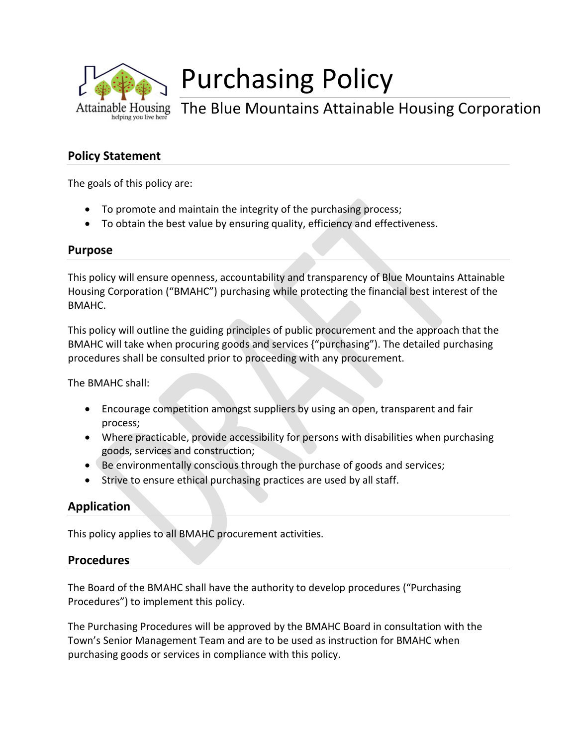

# Purchasing Policy

The Blue Mountains Attainable Housing Corporation

# **Policy Statement**

The goals of this policy are:

- To promote and maintain the integrity of the purchasing process;
- To obtain the best value by ensuring quality, efficiency and effectiveness.

#### **Purpose**

This policy will ensure openness, accountability and transparency of Blue Mountains Attainable Housing Corporation ("BMAHC") purchasing while protecting the financial best interest of the BMAHC.

This policy will outline the guiding principles of public procurement and the approach that the BMAHC will take when procuring goods and services {"purchasing"). The detailed purchasing procedures shall be consulted prior to proceeding with any procurement.

The BMAHC shall:

- Encourage competition amongst suppliers by using an open, transparent and fair process;
- Where practicable, provide accessibility for persons with disabilities when purchasing goods, services and construction;
- Be environmentally conscious through the purchase of goods and services;
- Strive to ensure ethical purchasing practices are used by all staff.

# **Application**

This policy applies to all BMAHC procurement activities.

### **Procedures**

The Board of the BMAHC shall have the authority to develop procedures ("Purchasing Procedures") to implement this policy.

The Purchasing Procedures will be approved by the BMAHC Board in consultation with the Town's Senior Management Team and are to be used as instruction for BMAHC when purchasing goods or services in compliance with this policy.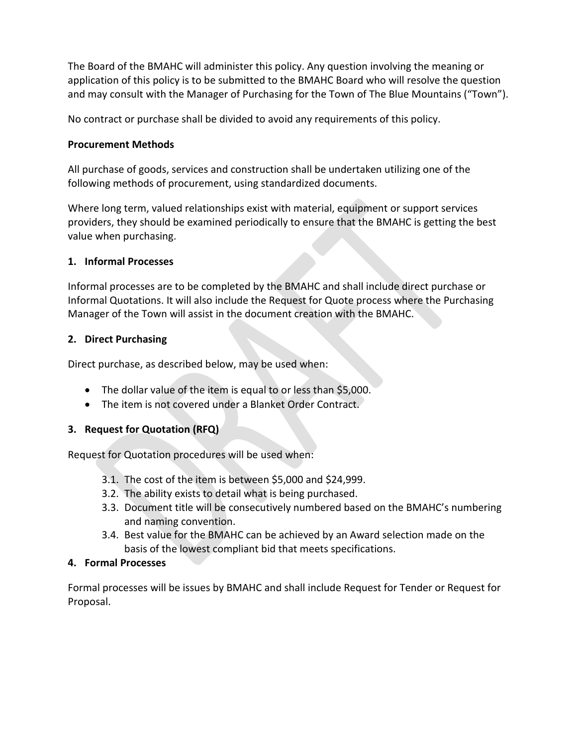The Board of the BMAHC will administer this policy. Any question involving the meaning or application of this policy is to be submitted to the BMAHC Board who will resolve the question and may consult with the Manager of Purchasing for the Town of The Blue Mountains ("Town").

No contract or purchase shall be divided to avoid any requirements of this policy.

# **Procurement Methods**

All purchase of goods, services and construction shall be undertaken utilizing one of the following methods of procurement, using standardized documents.

Where long term, valued relationships exist with material, equipment or support services providers, they should be examined periodically to ensure that the BMAHC is getting the best value when purchasing.

# **1. Informal Processes**

Informal processes are to be completed by the BMAHC and shall include direct purchase or Informal Quotations. It will also include the Request for Quote process where the Purchasing Manager of the Town will assist in the document creation with the BMAHC.

# **2. Direct Purchasing**

Direct purchase, as described below, may be used when:

- The dollar value of the item is equal to or less than \$5,000.
- The item is not covered under a Blanket Order Contract.

# **3. Request for Quotation (RFQ)**

Request for Quotation procedures will be used when:

- 3.1. The cost of the item is between \$5,000 and \$24,999.
- 3.2. The ability exists to detail what is being purchased.
- 3.3. Document title will be consecutively numbered based on the BMAHC's numbering and naming convention.
- 3.4. Best value for the BMAHC can be achieved by an Award selection made on the basis of the lowest compliant bid that meets specifications.

# **4. Formal Processes**

Formal processes will be issues by BMAHC and shall include Request for Tender or Request for Proposal.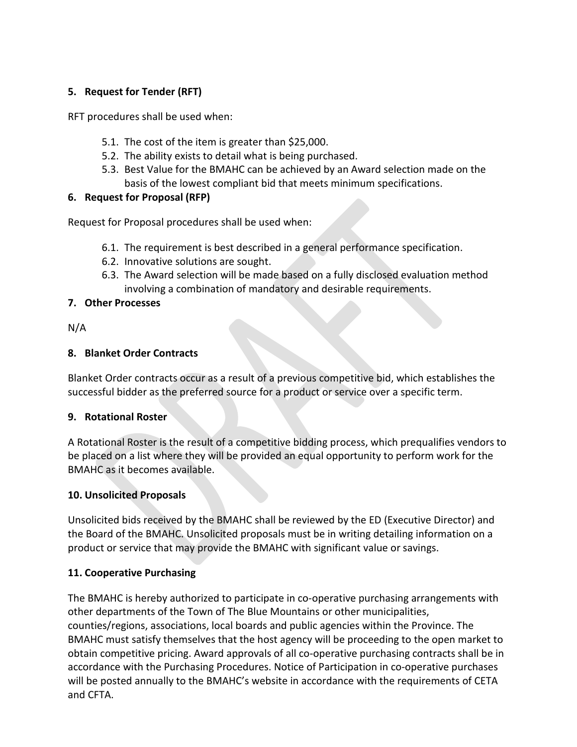# **5. Request for Tender (RFT)**

RFT procedures shall be used when:

- 5.1. The cost of the item is greater than \$25,000.
- 5.2. The ability exists to detail what is being purchased.
- 5.3. Best Value for the BMAHC can be achieved by an Award selection made on the basis of the lowest compliant bid that meets minimum specifications.

# **6. Request for Proposal (RFP)**

Request for Proposal procedures shall be used when:

- 6.1. The requirement is best described in a general performance specification.
- 6.2. Innovative solutions are sought.
- 6.3. The Award selection will be made based on a fully disclosed evaluation method involving a combination of mandatory and desirable requirements.

# **7. Other Processes**

N/A

### **8. Blanket Order Contracts**

Blanket Order contracts occur as a result of a previous competitive bid, which establishes the successful bidder as the preferred source for a product or service over a specific term.

### **9. Rotational Roster**

A Rotational Roster is the result of a competitive bidding process, which prequalifies vendors to be placed on a list where they will be provided an equal opportunity to perform work for the BMAHC as it becomes available.

### **10. Unsolicited Proposals**

Unsolicited bids received by the BMAHC shall be reviewed by the ED (Executive Director) and the Board of the BMAHC. Unsolicited proposals must be in writing detailing information on a product or service that may provide the BMAHC with significant value or savings.

# **11. Cooperative Purchasing**

The BMAHC is hereby authorized to participate in co-operative purchasing arrangements with other departments of the Town of The Blue Mountains or other municipalities, counties/regions, associations, local boards and public agencies within the Province. The BMAHC must satisfy themselves that the host agency will be proceeding to the open market to obtain competitive pricing. Award approvals of all co-operative purchasing contracts shall be in accordance with the Purchasing Procedures. Notice of Participation in co-operative purchases will be posted annually to the BMAHC's website in accordance with the requirements of CETA and CFTA.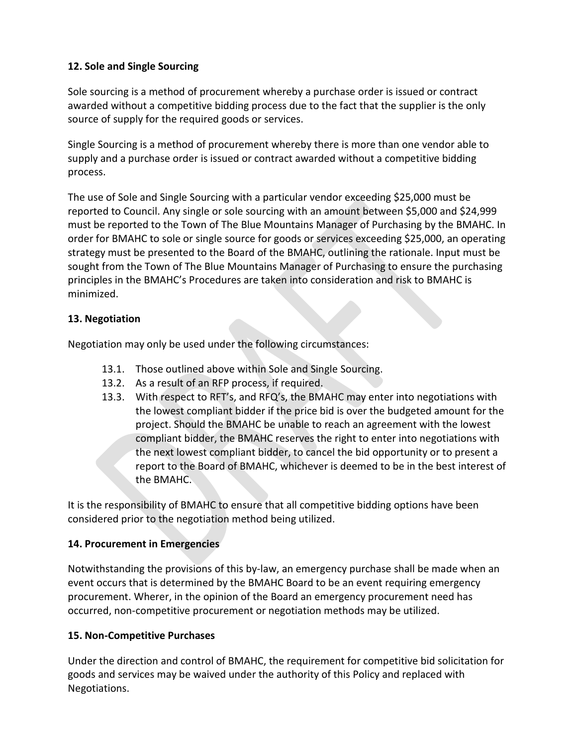# **12. Sole and Single Sourcing**

Sole sourcing is a method of procurement whereby a purchase order is issued or contract awarded without a competitive bidding process due to the fact that the supplier is the only source of supply for the required goods or services.

Single Sourcing is a method of procurement whereby there is more than one vendor able to supply and a purchase order is issued or contract awarded without a competitive bidding process.

The use of Sole and Single Sourcing with a particular vendor exceeding \$25,000 must be reported to Council. Any single or sole sourcing with an amount between \$5,000 and \$24,999 must be reported to the Town of The Blue Mountains Manager of Purchasing by the BMAHC. In order for BMAHC to sole or single source for goods or services exceeding \$25,000, an operating strategy must be presented to the Board of the BMAHC, outlining the rationale. Input must be sought from the Town of The Blue Mountains Manager of Purchasing to ensure the purchasing principles in the BMAHC's Procedures are taken into consideration and risk to BMAHC is minimized.

# **13. Negotiation**

Negotiation may only be used under the following circumstances:

- 13.1. Those outlined above within Sole and Single Sourcing.
- 13.2. As a result of an RFP process, if required.
- 13.3. With respect to RFT's, and RFQ's, the BMAHC may enter into negotiations with the lowest compliant bidder if the price bid is over the budgeted amount for the project. Should the BMAHC be unable to reach an agreement with the lowest compliant bidder, the BMAHC reserves the right to enter into negotiations with the next lowest compliant bidder, to cancel the bid opportunity or to present a report to the Board of BMAHC, whichever is deemed to be in the best interest of the BMAHC.

It is the responsibility of BMAHC to ensure that all competitive bidding options have been considered prior to the negotiation method being utilized.

# **14. Procurement in Emergencies**

Notwithstanding the provisions of this by-law, an emergency purchase shall be made when an event occurs that is determined by the BMAHC Board to be an event requiring emergency procurement. Wherer, in the opinion of the Board an emergency procurement need has occurred, non-competitive procurement or negotiation methods may be utilized.

# **15. Non-Competitive Purchases**

Under the direction and control of BMAHC, the requirement for competitive bid solicitation for goods and services may be waived under the authority of this Policy and replaced with Negotiations.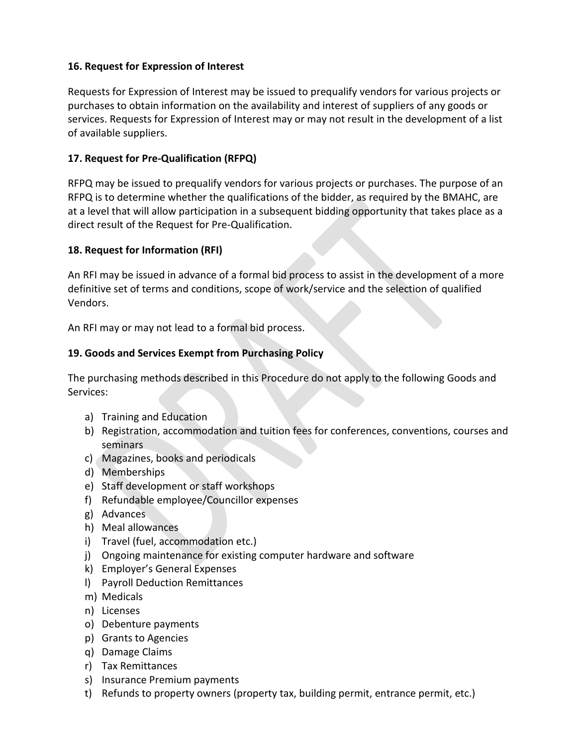### **16. Request for Expression of Interest**

Requests for Expression of Interest may be issued to prequalify vendors for various projects or purchases to obtain information on the availability and interest of suppliers of any goods or services. Requests for Expression of Interest may or may not result in the development of a list of available suppliers.

# **17. Request for Pre-Qualification (RFPQ)**

RFPQ may be issued to prequalify vendors for various projects or purchases. The purpose of an RFPQ is to determine whether the qualifications of the bidder, as required by the BMAHC, are at a level that will allow participation in a subsequent bidding opportunity that takes place as a direct result of the Request for Pre-Qualification.

#### **18. Request for Information (RFI)**

An RFI may be issued in advance of a formal bid process to assist in the development of a more definitive set of terms and conditions, scope of work/service and the selection of qualified Vendors.

An RFI may or may not lead to a formal bid process.

### **19. Goods and Services Exempt from Purchasing Policy**

The purchasing methods described in this Procedure do not apply to the following Goods and Services:

- a) Training and Education
- b) Registration, accommodation and tuition fees for conferences, conventions, courses and seminars
- c) Magazines, books and periodicals
- d) Memberships
- e) Staff development or staff workshops
- f) Refundable employee/Councillor expenses
- g) Advances
- h) Meal allowances
- i) Travel (fuel, accommodation etc.)
- j) Ongoing maintenance for existing computer hardware and software
- k) Employer's General Expenses
- l) Payroll Deduction Remittances
- m) Medicals
- n) Licenses
- o) Debenture payments
- p) Grants to Agencies
- q) Damage Claims
- r) Tax Remittances
- s) Insurance Premium payments
- t) Refunds to property owners (property tax, building permit, entrance permit, etc.)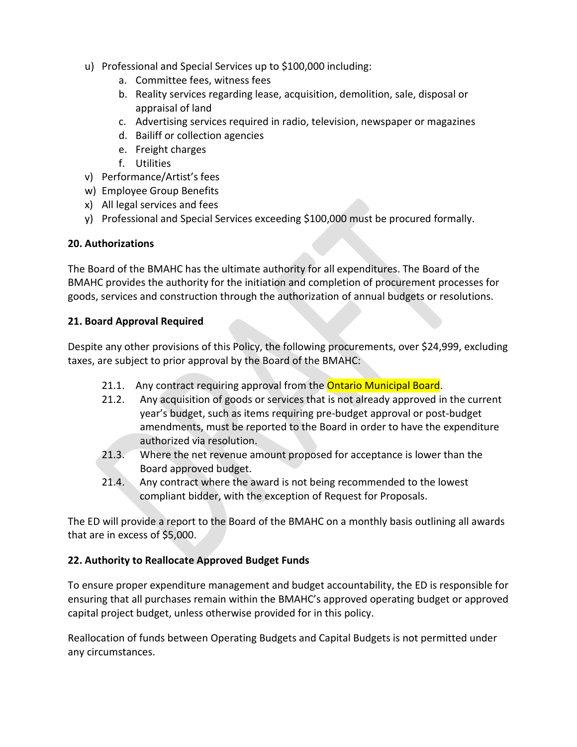- u) Professional and Special Services up to \$100,000 including:
	- a. Committee fees, witness fees
	- b. Reality services regarding lease, acquisition, demolition, sale, disposal or appraisal of land
	- c. Advertising services required in radio, television, newspaper or magazines
	- d. Bailiff or collection agencies
	- e. Freight charges
	- f. Utilities
- v) Performance/Artist's fees
- w) Employee Group Benefits
- x) All legal services and fees
- y) Professional and Special Services exceeding \$100,000 must be procured formally.

#### **20. Authorizations**

The Board of the BMAHC has the ultimate authority for all expenditures. The Board of the BMAHC provides the authority for the initiation and completion of procurement processes for goods, services and construction through the authorization of annual budgets or resolutions.

#### **21. Board Approval Required**

Despite any other provisions of this Policy, the following procurements, over \$24,999, excluding taxes, are subject to prior approval by the Board of the BMAHC:

- 21.1. Any contract requiring approval from the **Ontario Municipal Board.**
- 21.2. Any acquisition of goods or services that is not already approved in the current year's budget, such as items requiring pre-budget approval or post-budget amendments, must be reported to the Board in order to have the expenditure authorized via resolution.
- 21.3. Where the net revenue amount proposed for acceptance is lower than the Board approved budget.
- 21.4. Any contract where the award is not being recommended to the lowest compliant bidder, with the exception of Request for Proposals.

The ED will provide a report to the Board of the BMAHC on a monthly basis outlining all awards that are in excess of \$5,000.

### **22. Authority to Reallocate Approved Budget Funds**

To ensure proper expenditure management and budget accountability, the ED is responsible for ensuring that all purchases remain within the BMAHC's approved operating budget or approved capital project budget, unless otherwise provided for in this policy.

Reallocation of funds between Operating Budgets and Capital Budgets is not permitted under any circumstances.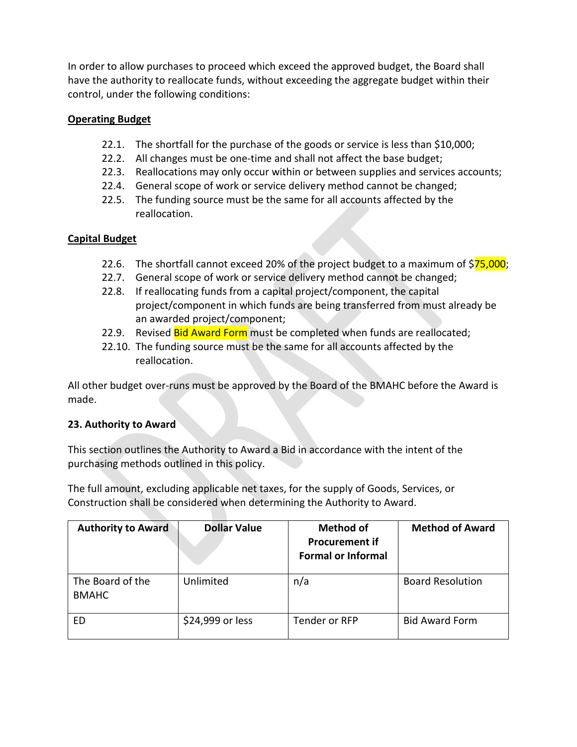In order to allow purchases to proceed which exceed the approved budget, the Board shall have the authority to reallocate funds, without exceeding the aggregate budget within their control, under the following conditions:

# **Operating Budget**

- 22.1. The shortfall for the purchase of the goods or service is less than \$10,000;
- 22.2. All changes must be one-time and shall not affect the base budget;
- 22.3. Reallocations may only occur within or between supplies and services accounts;
- 22.4. General scope of work or service delivery method cannot be changed;
- 22.5. The funding source must be the same for all accounts affected by the reallocation.

# **Capital Budget**

- 22.6. The shortfall cannot exceed 20% of the project budget to a maximum of  $$75,000$ ;
- 22.7. General scope of work or service delivery method cannot be changed;
- 22.8. If reallocating funds from a capital project/component, the capital project/component in which funds are being transferred from must already be an awarded project/component;
- 22.9. Revised Bid Award Form must be completed when funds are reallocated;
- 22.10. The funding source must be the same for all accounts affected by the reallocation.

All other budget over-runs must be approved by the Board of the BMAHC before the Award is made.

# **23. Authority to Award**

This section outlines the Authority to Award a Bid in accordance with the intent of the purchasing methods outlined in this policy.

The full amount, excluding applicable net taxes, for the supply of Goods, Services, or Construction shall be considered when determining the Authority to Award.

| <b>Authority to Award</b>        | <b>Dollar Value</b> | <b>Method of</b><br><b>Procurement if</b><br><b>Formal or Informal</b> | <b>Method of Award</b>  |
|----------------------------------|---------------------|------------------------------------------------------------------------|-------------------------|
| The Board of the<br><b>BMAHC</b> | Unlimited           | n/a                                                                    | <b>Board Resolution</b> |
| ED                               | \$24,999 or less    | Tender or RFP                                                          | <b>Bid Award Form</b>   |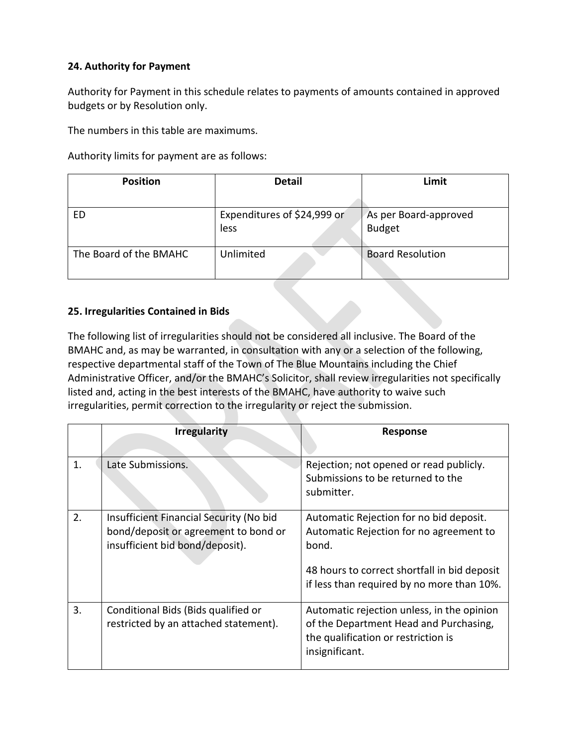### **24. Authority for Payment**

Authority for Payment in this schedule relates to payments of amounts contained in approved budgets or by Resolution only.

The numbers in this table are maximums.

Authority limits for payment are as follows:

| <b>Position</b>        | <b>Detail</b>                       | Limit                                  |
|------------------------|-------------------------------------|----------------------------------------|
|                        |                                     |                                        |
| ED                     | Expenditures of \$24,999 or<br>less | As per Board-approved<br><b>Budget</b> |
| The Board of the BMAHC | Unlimited                           | <b>Board Resolution</b>                |

### **25. Irregularities Contained in Bids**

The following list of irregularities should not be considered all inclusive. The Board of the BMAHC and, as may be warranted, in consultation with any or a selection of the following, respective departmental staff of the Town of The Blue Mountains including the Chief Administrative Officer, and/or the BMAHC's Solicitor, shall review irregularities not specifically listed and, acting in the best interests of the BMAHC, have authority to waive such irregularities, permit correction to the irregularity or reject the submission.

|    | <b>Irregularity</b>                                                                                                | <b>Response</b>                                                                                                                                                                           |
|----|--------------------------------------------------------------------------------------------------------------------|-------------------------------------------------------------------------------------------------------------------------------------------------------------------------------------------|
| 1. | Late Submissions.                                                                                                  | Rejection; not opened or read publicly.<br>Submissions to be returned to the<br>submitter.                                                                                                |
| 2. | Insufficient Financial Security (No bid<br>bond/deposit or agreement to bond or<br>insufficient bid bond/deposit). | Automatic Rejection for no bid deposit.<br>Automatic Rejection for no agreement to<br>bond.<br>48 hours to correct shortfall in bid deposit<br>if less than required by no more than 10%. |
| 3. | Conditional Bids (Bids qualified or<br>restricted by an attached statement).                                       | Automatic rejection unless, in the opinion<br>of the Department Head and Purchasing,<br>the qualification or restriction is<br>insignificant.                                             |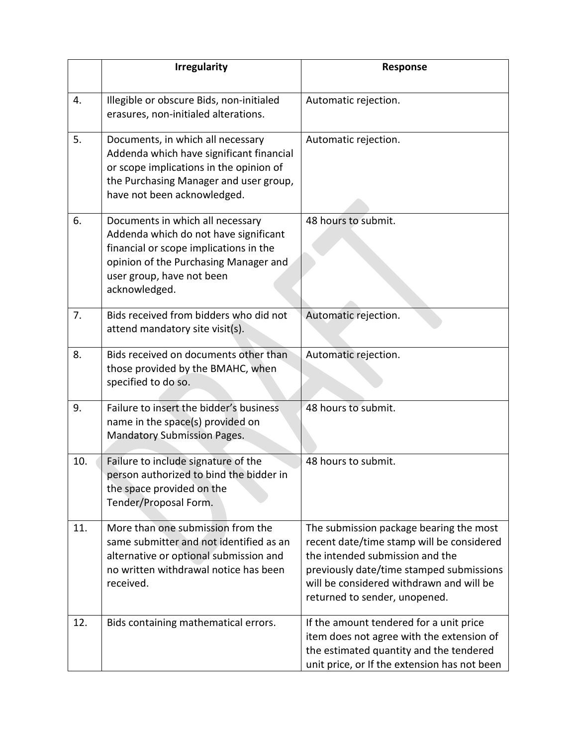|     | <b>Irregularity</b>                                                                                                                                                                                        | <b>Response</b>                                                                                                                                                                                                                                  |
|-----|------------------------------------------------------------------------------------------------------------------------------------------------------------------------------------------------------------|--------------------------------------------------------------------------------------------------------------------------------------------------------------------------------------------------------------------------------------------------|
| 4.  | Illegible or obscure Bids, non-initialed<br>erasures, non-initialed alterations.                                                                                                                           | Automatic rejection.                                                                                                                                                                                                                             |
| 5.  | Documents, in which all necessary<br>Addenda which have significant financial<br>or scope implications in the opinion of<br>the Purchasing Manager and user group,<br>have not been acknowledged.          | Automatic rejection.                                                                                                                                                                                                                             |
| 6.  | Documents in which all necessary<br>Addenda which do not have significant<br>financial or scope implications in the<br>opinion of the Purchasing Manager and<br>user group, have not been<br>acknowledged. | 48 hours to submit.                                                                                                                                                                                                                              |
| 7.  | Bids received from bidders who did not<br>attend mandatory site visit(s).                                                                                                                                  | Automatic rejection.                                                                                                                                                                                                                             |
| 8.  | Bids received on documents other than<br>those provided by the BMAHC, when<br>specified to do so.                                                                                                          | Automatic rejection.                                                                                                                                                                                                                             |
| 9.  | Failure to insert the bidder's business<br>name in the space(s) provided on<br><b>Mandatory Submission Pages.</b>                                                                                          | 48 hours to submit.                                                                                                                                                                                                                              |
| 10. | Failure to include signature of the<br>person authorized to bind the bidder in<br>the space provided on the<br>Tender/Proposal Form.                                                                       | 48 hours to submit.                                                                                                                                                                                                                              |
| 11. | More than one submission from the<br>same submitter and not identified as an<br>alternative or optional submission and<br>no written withdrawal notice has been<br>received.                               | The submission package bearing the most<br>recent date/time stamp will be considered<br>the intended submission and the<br>previously date/time stamped submissions<br>will be considered withdrawn and will be<br>returned to sender, unopened. |
| 12. | Bids containing mathematical errors.                                                                                                                                                                       | If the amount tendered for a unit price<br>item does not agree with the extension of<br>the estimated quantity and the tendered<br>unit price, or If the extension has not been                                                                  |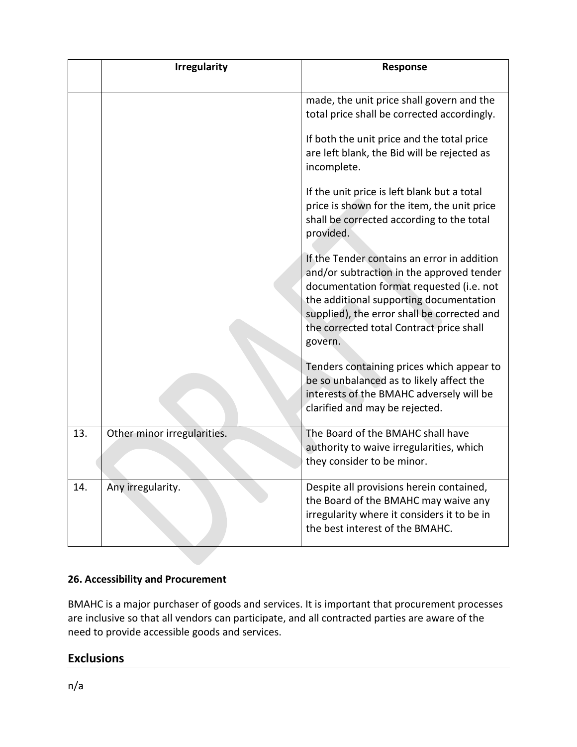|     | <b>Irregularity</b>         | Response                                                                                                                                                                                                                                                                              |
|-----|-----------------------------|---------------------------------------------------------------------------------------------------------------------------------------------------------------------------------------------------------------------------------------------------------------------------------------|
|     |                             | made, the unit price shall govern and the<br>total price shall be corrected accordingly.                                                                                                                                                                                              |
|     |                             | If both the unit price and the total price<br>are left blank, the Bid will be rejected as<br>incomplete.                                                                                                                                                                              |
|     |                             | If the unit price is left blank but a total<br>price is shown for the item, the unit price<br>shall be corrected according to the total<br>provided.                                                                                                                                  |
|     |                             | If the Tender contains an error in addition<br>and/or subtraction in the approved tender<br>documentation format requested (i.e. not<br>the additional supporting documentation<br>supplied), the error shall be corrected and<br>the corrected total Contract price shall<br>govern. |
|     |                             | Tenders containing prices which appear to<br>be so unbalanced as to likely affect the<br>interests of the BMAHC adversely will be<br>clarified and may be rejected.                                                                                                                   |
| 13. | Other minor irregularities. | The Board of the BMAHC shall have<br>authority to waive irregularities, which<br>they consider to be minor.                                                                                                                                                                           |
| 14. | Any irregularity.           | Despite all provisions herein contained,<br>the Board of the BMAHC may waive any<br>irregularity where it considers it to be in<br>the best interest of the BMAHC.                                                                                                                    |

# **26. Accessibility and Procurement**

BMAHC is a major purchaser of goods and services. It is important that procurement processes are inclusive so that all vendors can participate, and all contracted parties are aware of the need to provide accessible goods and services.

# **Exclusions**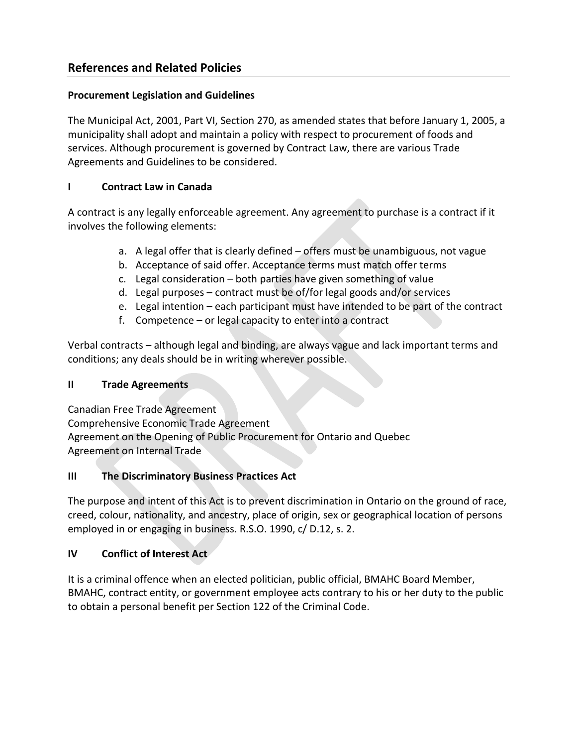# **References and Related Policies**

#### **Procurement Legislation and Guidelines**

The Municipal Act, 2001, Part VI, Section 270, as amended states that before January 1, 2005, a municipality shall adopt and maintain a policy with respect to procurement of foods and services. Although procurement is governed by Contract Law, there are various Trade Agreements and Guidelines to be considered.

### **I Contract Law in Canada**

A contract is any legally enforceable agreement. Any agreement to purchase is a contract if it involves the following elements:

- a. A legal offer that is clearly defined offers must be unambiguous, not vague
- b. Acceptance of said offer. Acceptance terms must match offer terms
- c. Legal consideration both parties have given something of value
- d. Legal purposes contract must be of/for legal goods and/or services
- e. Legal intention each participant must have intended to be part of the contract
- f. Competence or legal capacity to enter into a contract

Verbal contracts – although legal and binding, are always vague and lack important terms and conditions; any deals should be in writing wherever possible.

### **II Trade Agreements**

Canadian Free Trade Agreement Comprehensive Economic Trade Agreement Agreement on the Opening of Public Procurement for Ontario and Quebec Agreement on Internal Trade

### **III The Discriminatory Business Practices Act**

The purpose and intent of this Act is to prevent discrimination in Ontario on the ground of race, creed, colour, nationality, and ancestry, place of origin, sex or geographical location of persons employed in or engaging in business. R.S.O. 1990, c/ D.12, s. 2.

### **IV Conflict of Interest Act**

It is a criminal offence when an elected politician, public official, BMAHC Board Member, BMAHC, contract entity, or government employee acts contrary to his or her duty to the public to obtain a personal benefit per Section 122 of the Criminal Code.